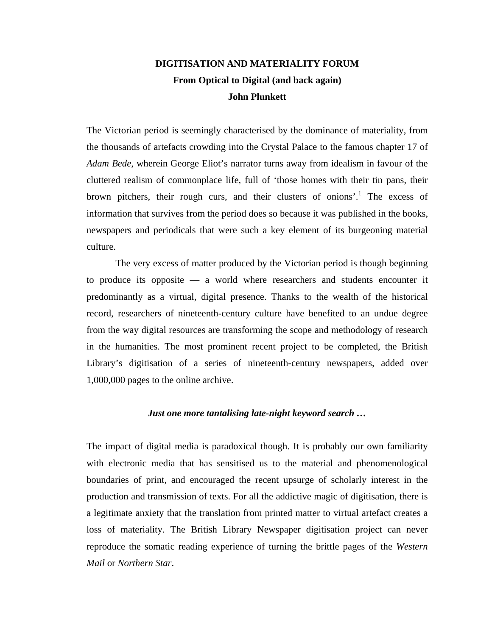# **DIGITISATION AND MATERIALITY FORUM From Optical to Digital (and back again) John Plunkett**

The Victorian period is seemingly characterised by the dominance of materiality, from the thousands of artefacts crowding into the Crystal Palace to the famous chapter 17 of *Adam Bede*, wherein George Eliot's narrator turns away from idealism in favour of the cluttered realism of commonplace life, full of 'those homes with their tin pans, their brown pitchers, their rough curs, and their clusters of onions'.<sup>[1](#page-9-0)</sup> The excess of information that survives from the period does so because it was published in the books, newspapers and periodicals that were such a key element of its burgeoning material culture.

The very excess of matter produced by the Victorian period is though beginning to produce its opposite — a world where researchers and students encounter it predominantly as a virtual, digital presence. Thanks to the wealth of the historical record, researchers of nineteenth-century culture have benefited to an undue degree from the way digital resources are transforming the scope and methodology of research in the humanities. The most prominent recent project to be completed, the British Library's digitisation of a series of nineteenth-century newspapers, added over 1,000,000 pages to the online archive.

#### *Just one more tantalising late-night keyword search …*

The impact of digital media is paradoxical though. It is probably our own familiarity with electronic media that has sensitised us to the material and phenomenological boundaries of print, and encouraged the recent upsurge of scholarly interest in the production and transmission of texts. For all the addictive magic of digitisation, there is a legitimate anxiety that the translation from printed matter to virtual artefact creates a loss of materiality. The British Library Newspaper digitisation project can never reproduce the somatic reading experience of turning the brittle pages of the *Western Mail* or *Northern Star*.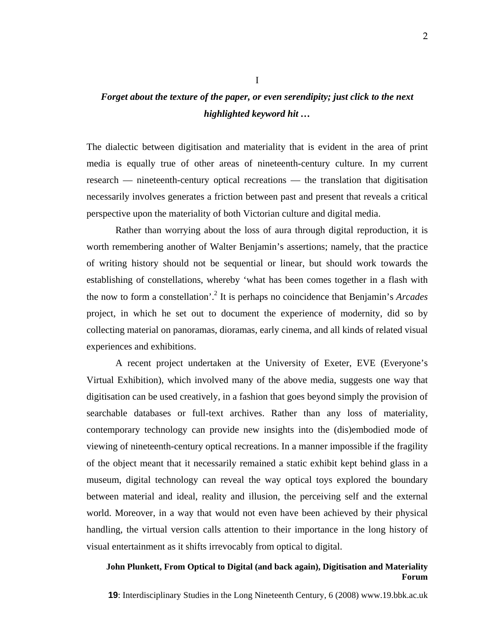# *Forget about the texture of the paper, or even serendipity; just click to the next highlighted keyword hit …*

I

The dialectic between digitisation and materiality that is evident in the area of print media is equally true of other areas of nineteenth-century culture. In my current research — nineteenth-century optical recreations — the translation that digitisation necessarily involves generates a friction between past and present that reveals a critical perspective upon the materiality of both Victorian culture and digital media.

Rather than worrying about the loss of aura through digital reproduction, it is worth remembering another of Walter Benjamin's assertions; namely, that the practice of writing history should not be sequential or linear, but should work towards the establishing of constellations, whereby 'what has been comes together in a flash with the now to form a constellation'.[2](#page-9-1) It is perhaps no coincidence that Benjamin's *Arcades* project, in which he set out to document the experience of modernity, did so by collecting material on panoramas, dioramas, early cinema, and all kinds of related visual experiences and exhibitions.

A recent project undertaken at the University of Exeter, EVE (Everyone's Virtual Exhibition), which involved many of the above media, suggests one way that digitisation can be used creatively, in a fashion that goes beyond simply the provision of searchable databases or full-text archives. Rather than any loss of materiality, contemporary technology can provide new insights into the (dis)embodied mode of viewing of nineteenth-century optical recreations. In a manner impossible if the fragility of the object meant that it necessarily remained a static exhibit kept behind glass in a museum, digital technology can reveal the way optical toys explored the boundary between material and ideal, reality and illusion, the perceiving self and the external world. Moreover, in a way that would not even have been achieved by their physical handling, the virtual version calls attention to their importance in the long history of visual entertainment as it shifts irrevocably from optical to digital.

# **John Plunkett, From Optical to Digital (and back again), Digitisation and Materiality Forum**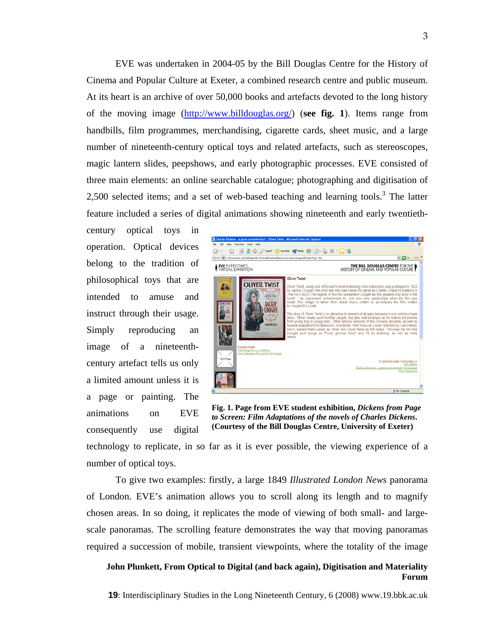EVE was undertaken in 2004-05 by the Bill Douglas Centre for the History of Cinema and Popular Culture at Exeter, a combined research centre and public museum. At its heart is an archive of over 50,000 books and artefacts devoted to the long history of the moving image [\(http://www.billdouglas.org/\)](http://www.billdouglas.org/) (**see fig. 1**). Items range from handbills, film programmes, merchandising, cigarette cards, sheet music, and a large number of nineteenth-century optical toys and related artefacts, such as stereoscopes, magic lantern slides, peepshows, and early photographic processes. EVE consisted of three main elements: an online searchable catalogue; photographing and digitisation of 2,500selected items; and a set of web-based teaching and learning tools.<sup>3</sup> The latter feature included a series of digital animations showing nineteenth and early twentieth-

century optical toys in operation. Optical devices belong to the tradition of philosophical toys that are intended to amuse and instruct through their usage. Simply reproducing an image of a nineteenthcentury artefact tells us only a limited amount unless it is a page or painting. The animations on EVE consequently use digital



**Fig. 1. Page from EVE student exhibition,** *Dickens from Page to Screen: Film Adaptations of the novels of Charles Dickens***. (Courtesy of the Bill Douglas Centre, University of Exeter)** 

technology to replicate, in so far as it is ever possible, the viewing experience of a number of optical toys.

To give two examples: firstly, a large 1849 *Illustrated London News* panorama of London. EVE's animation allows you to scroll along its length and to magnify chosen areas. In so doing, it replicates the mode of viewing of both small- and largescale panoramas. The scrolling feature demonstrates the way that moving panoramas required a succession of mobile, transient viewpoints, where the totality of the image

# **John Plunkett, From Optical to Digital (and back again), Digitisation and Materiality Forum**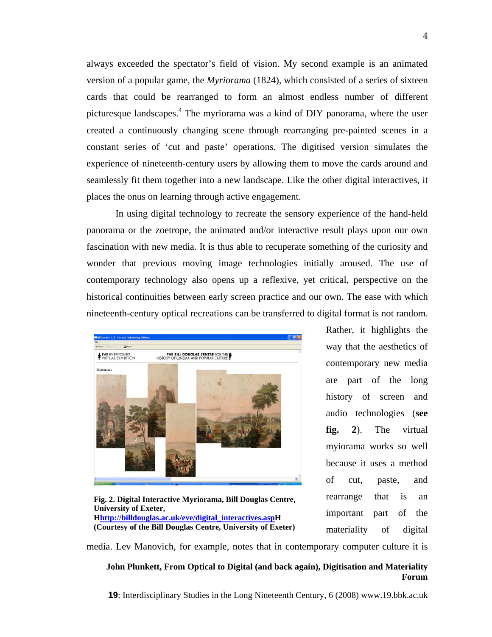always exceeded the spectator's field of vision. My second example is an animated version of a popular game, the *Myriorama* (1824), which consisted of a series of sixteen cards that could be rearranged to form an almost endless number of different picturesque landscapes.<sup>4</sup> The myriorama was a kind of DIY panorama, where the user created a continuously changing scene through rearranging pre-painted scenes in a constant series of 'cut and paste' operations. The digitised version simulates the experience of nineteenth-century users by allowing them to move the cards around and seamlessly fit them together into a new landscape. Like the other digital interactives, it places the onus on learning through active engagement.

In using digital technology to recreate the sensory experience of the hand-held panorama or the zoetrope, the animated and/or interactive result plays upon our own fascination with new media. It is thus able to recuperate something of the curiosity and wonder that previous moving image technologies initially aroused. The use of contemporary technology also opens up a reflexive, yet critical, perspective on the historical continuities between early screen practice and our own. The ease with which nineteenth-century optical recreations can be transferred to digital format is not random.



**Fig. 2. Digital Interactive Myriorama, Bill Douglas Centre, University of Exeter, Hhttp://billdouglas.ac.uk/eve/digital\_interactives.aspH (Courtesy of the Bill Douglas Centre, University of Exeter)** 

Rather, it highlights the way that the aesthetics of contemporary new media are part of the long history of screen and audio technologies (**see fig. 2**). The virtual myiorama works so well because it uses a method of cut, paste, and rearrange that is an important part of the materiality of digital

media. Lev Manovich, for example, notes that in contemporary computer culture it is

### **John Plunkett, From Optical to Digital (and back again), Digitisation and Materiality Forum**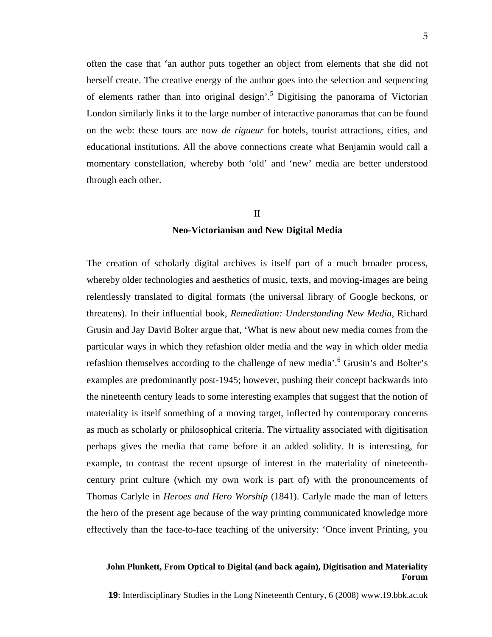often the case that 'an author puts together an object from elements that she did not herself create. The creative energy of the author goes into the selection and sequencing of elements rather than into original design'.<sup>[5](#page-9-3)</sup> Digitising the panorama of Victorian London similarly links it to the large number of interactive panoramas that can be found on the web: these tours are now *de rigueur* for hotels, tourist attractions, cities, and educational institutions. All the above connections create what Benjamin would call a momentary constellation, whereby both 'old' and 'new' media are better understood through each other.

#### II

# **Neo-Victorianism and New Digital Media**

The creation of scholarly digital archives is itself part of a much broader process, whereby older technologies and aesthetics of music, texts, and moving-images are being relentlessly translated to digital formats (the universal library of Google beckons, or threatens). In their influential book, *Remediation: Understanding New Media*, Richard Grusin and Jay David Bolter argue that, 'What is new about new media comes from the particular ways in which they refashion older media and the way in which older media refashion themselves according to the challenge of new media'.<sup>[6](#page-9-4)</sup> Grusin's and Bolter's examples are predominantly post-1945; however, pushing their concept backwards into the nineteenth century leads to some interesting examples that suggest that the notion of materiality is itself something of a moving target, inflected by contemporary concerns as much as scholarly or philosophical criteria. The virtuality associated with digitisation perhaps gives the media that came before it an added solidity. It is interesting, for example, to contrast the recent upsurge of interest in the materiality of nineteenthcentury print culture (which my own work is part of) with the pronouncements of Thomas Carlyle in *Heroes and Hero Worship* (1841). Carlyle made the man of letters the hero of the present age because of the way printing communicated knowledge more effectively than the face-to-face teaching of the university: 'Once invent Printing, you

### **John Plunkett, From Optical to Digital (and back again), Digitisation and Materiality Forum**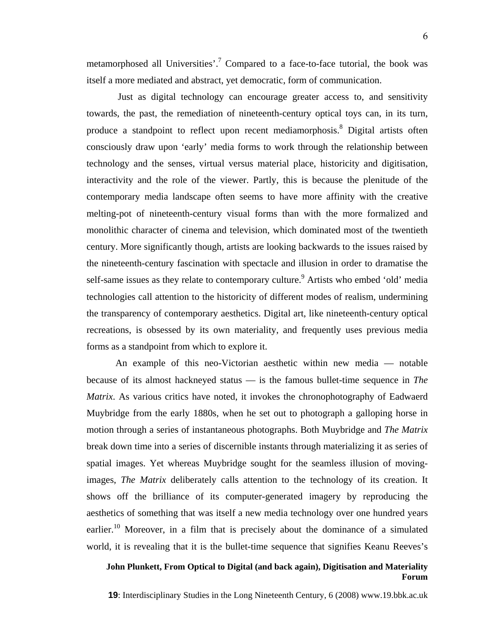metamorphosed all Universities'.<sup>[7](#page-9-5)</sup> Compared to a face-to-face tutorial, the book was itself a more mediated and abstract, yet democratic, form of communication.

Just as digital technology can encourage greater access to, and sensitivity towards, the past, the remediation of nineteenth-century optical toys can, in its turn, produce a standpoint to reflect upon recent mediamorphosis.<sup>[8](#page-9-6)</sup> Digital artists often consciously draw upon 'early' media forms to work through the relationship between technology and the senses, virtual versus material place, historicity and digitisation, interactivity and the role of the viewer. Partly, this is because the plenitude of the contemporary media landscape often seems to have more affinity with the creative melting-pot of nineteenth-century visual forms than with the more formalized and monolithic character of cinema and television, which dominated most of the twentieth century. More significantly though, artists are looking backwards to the issues raised by the nineteenth-century fascination with spectacle and illusion in order to dramatise the self-same issues as they relate to contemporary culture.<sup>9</sup> Artists who embed 'old' media technologies call attention to the historicity of different modes of realism, undermining the transparency of contemporary aesthetics. Digital art, like nineteenth-century optical recreations, is obsessed by its own materiality, and frequently uses previous media forms as a standpoint from which to explore it.

An example of this neo-Victorian aesthetic within new media — notable because of its almost hackneyed status — is the famous bullet-time sequence in *The Matrix*. As various critics have noted, it invokes the chronophotography of Eadwaerd Muybridge from the early 1880s, when he set out to photograph a galloping horse in motion through a series of instantaneous photographs. Both Muybridge and *The Matrix* break down time into a series of discernible instants through materializing it as series of spatial images. Yet whereas Muybridge sought for the seamless illusion of movingimages, *The Matrix* deliberately calls attention to the technology of its creation. It shows off the brilliance of its computer-generated imagery by reproducing the aesthetics of something that was itself a new media technology over one hundred years earlier.<sup>10</sup> Moreover, in a film that is precisely about the dominance of a simulated world, it is revealing that it is the bullet-time sequence that signifies Keanu Reeves's

# **John Plunkett, From Optical to Digital (and back again), Digitisation and Materiality Forum**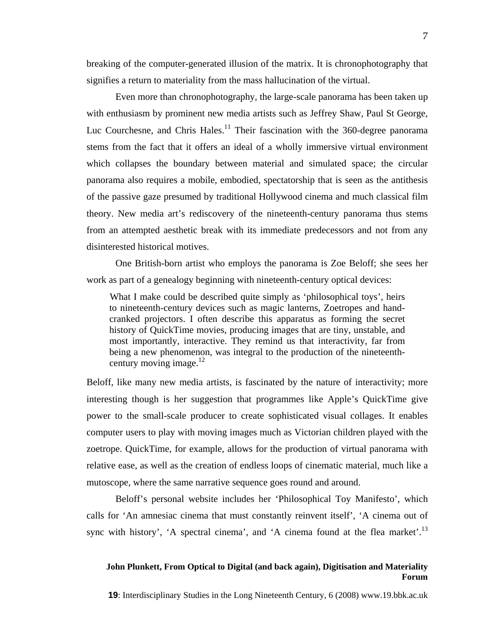breaking of the computer-generated illusion of the matrix. It is chronophotography that signifies a return to materiality from the mass hallucination of the virtual.

Even more than chronophotography, the large-scale panorama has been taken up with enthusiasm by prominent new media artists such as Jeffrey Shaw, Paul St George, Luc Courchesne, and Chris Hales.<sup>11</sup> Their fascination with the 360-degree panorama stems from the fact that it offers an ideal of a wholly immersive virtual environment which collapses the boundary between material and simulated space; the circular panorama also requires a mobile, embodied, spectatorship that is seen as the antithesis of the passive gaze presumed by traditional Hollywood cinema and much classical film theory. New media art's rediscovery of the nineteenth-century panorama thus stems from an attempted aesthetic break with its immediate predecessors and not from any disinterested historical motives.

One British-born artist who employs the panorama is Zoe Beloff; she sees her work as part of a genealogy beginning with nineteenth-century optical devices:

What I make could be described quite simply as 'philosophical toys', heirs to nineteenth-century devices such as magic lanterns, Zoetropes and handcranked projectors. I often describe this apparatus as forming the secret history of QuickTime movies, producing images that are tiny, unstable, and most importantly, interactive. They remind us that interactivity, far from being a new phenomenon, was integral to the production of the nineteenth-century moving image.<sup>[12](#page-9-4)</sup>

Beloff, like many new media artists, is fascinated by the nature of interactivity; more interesting though is her suggestion that programmes like Apple's QuickTime give power to the small-scale producer to create sophisticated visual collages. It enables computer users to play with moving images much as Victorian children played with the zoetrope. QuickTime, for example, allows for the production of virtual panorama with relative ease, as well as the creation of endless loops of cinematic material, much like a mutoscope, where the same narrative sequence goes round and around.

Beloff's personal website includes her 'Philosophical Toy Manifesto', which calls for 'An amnesiac cinema that must constantly reinvent itself', 'A cinema out of sync with history', 'A spectral cinema', and 'A cinema found at the flea market'.<sup>13</sup>

# **John Plunkett, From Optical to Digital (and back again), Digitisation and Materiality Forum**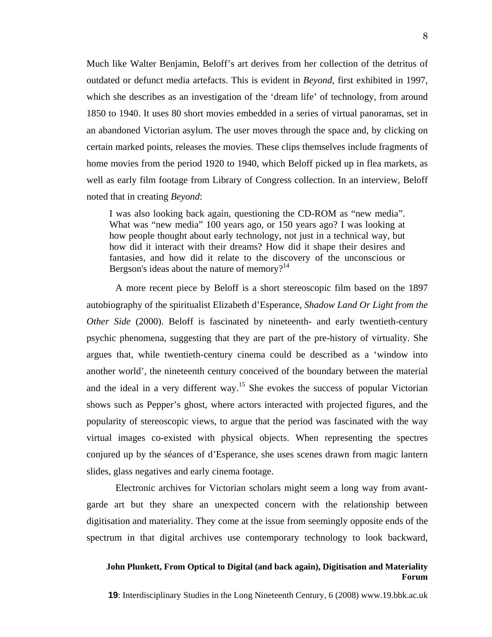Much like Walter Benjamin, Beloff's art derives from her collection of the detritus of outdated or defunct media artefacts. This is evident in *Beyond*, first exhibited in 1997, which she describes as an investigation of the 'dream life' of technology, from around 1850 to 1940. It uses 80 short movies embedded in a series of virtual panoramas, set in an abandoned Victorian asylum. The user moves through the space and, by clicking on certain marked points, releases the movies. These clips themselves include fragments of home movies from the period 1920 to 1940, which Beloff picked up in flea markets, as well as early film footage from Library of Congress collection. In an interview, Beloff noted that in creating *Beyond*:

I was also looking back again, questioning the CD-ROM as "new media". What was "new media" 100 years ago, or 150 years ago? I was looking at how people thought about early technology, not just in a technical way, but how did it interact with their dreams? How did it shape their desires and fantasies, and how did it relate to the discovery of the unconscious or Bergson's ideas about the nature of memory?<sup>[14](#page-9-10)</sup>

A more recent piece by Beloff is a short stereoscopic film based on the 1897 autobiography of the spiritualist Elizabeth d'Esperance, *Shadow Land Or Light from the Other Side* (2000). Beloff is fascinated by nineteenth- and early twentieth-century psychic phenomena, suggesting that they are part of the pre-history of virtuality. She argues that, while twentieth-century cinema could be described as a 'window into another world', the nineteenth century conceived of the boundary between the material and the ideal in a very different way.<sup>15</sup> She evokes the success of popular Victorian shows such as Pepper's ghost, where actors interacted with projected figures, and the popularity of stereoscopic views, to argue that the period was fascinated with the way virtual images co-existed with physical objects. When representing the spectres conjured up by the séances of d'Esperance, she uses scenes drawn from magic lantern slides, glass negatives and early cinema footage.

Electronic archives for Victorian scholars might seem a long way from avantgarde art but they share an unexpected concern with the relationship between digitisation and materiality. They come at the issue from seemingly opposite ends of the spectrum in that digital archives use contemporary technology to look backward,

## **John Plunkett, From Optical to Digital (and back again), Digitisation and Materiality Forum**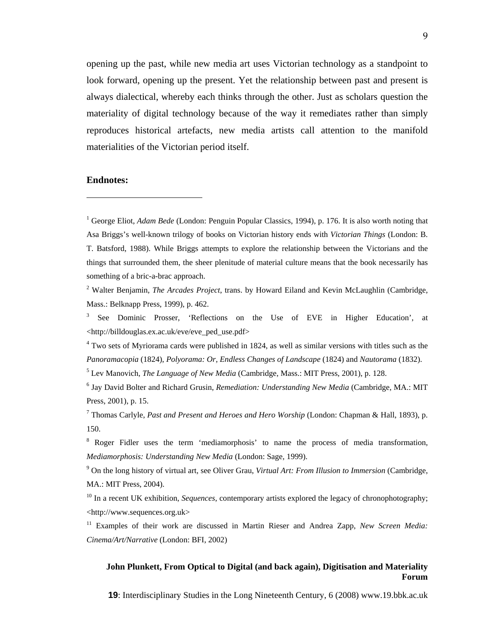opening up the past, while new media art uses Victorian technology as a standpoint to look forward, opening up the present. Yet the relationship between past and present is always dialectical, whereby each thinks through the other. Just as scholars question the materiality of digital technology because of the way it remediates rather than simply reproduces historical artefacts, new media artists call attention to the manifold materialities of the Victorian period itself.

#### **Endnotes:**

 $\overline{a}$ 

<sup>1</sup> George Eliot, *Adam Bede* (London: Penguin Popular Classics, 1994), p. 176. It is also worth noting that Asa Briggs's well-known trilogy of books on Victorian history ends with *Victorian Things* (London: B. T. Batsford, 1988). While Briggs attempts to explore the relationship between the Victorians and the things that surrounded them, the sheer plenitude of material culture means that the book necessarily has something of a bric-a-brac approach.

<sup>2</sup> Walter Benjamin, *The Arcades Project*, trans. by Howard Eiland and Kevin McLaughlin (Cambridge, Mass.: Belknapp Press, 1999), p. 462.

<sup>3</sup> See Dominic Prosser, 'Reflections on the Use of EVE in Higher Education', at <http://billdouglas.ex.ac.uk/eve/eve\_ped\_use.pdf>

<sup>4</sup> Two sets of Myriorama cards were published in 1824, as well as similar versions with titles such as the *Panoramacopia* (1824), *Polyorama: Or, Endless Changes of Landscape* (1824) and *Nautorama* (1832).

5 Lev Manovich, *The Language of New Media* (Cambridge, Mass.: MIT Press, 2001), p. 128.

<sup>6</sup> Jay David Bolter and Richard Grusin, *Remediation: Understanding New Media* (Cambridge, MA.: MIT Press, 2001), p. 15.

7 Thomas Carlyle, *Past and Present and Heroes and Hero Worship* (London: Chapman & Hall, 1893), p. 150.

<sup>8</sup> Roger Fidler uses the term 'mediamorphosis' to name the process of media transformation, *Mediamorphosis: Understanding New Media* (London: Sage, 1999).

<sup>9</sup> On the long history of virtual art, see Oliver Grau, *Virtual Art: From Illusion to Immersion* (Cambridge, MA.: MIT Press, 2004).

<sup>10</sup> In a recent UK exhibition, *Sequences*, contemporary artists explored the legacy of chronophotography; <http://www.sequences.org.uk>

<sup>11</sup> Examples of their work are discussed in Martin Rieser and Andrea Zapp, *New Screen Media*: *Cinema/Art/Narrative* (London: BFI, 2002)

# **John Plunkett, From Optical to Digital (and back again), Digitisation and Materiality Forum**